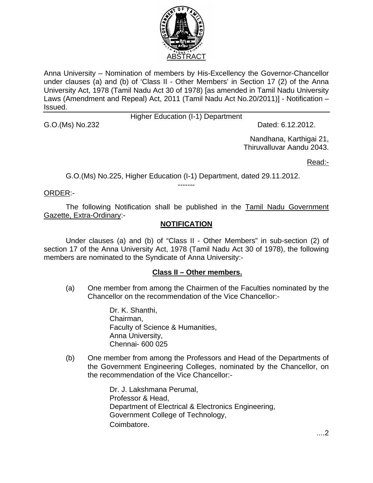

Anna University – Nomination of members by His-Excellency the Governor-Chancellor under clauses (a) and (b) of 'Class II - Other Members' in Section 17 (2) of the Anna University Act, 1978 (Tamil Nadu Act 30 of 1978) [as amended in Tamil Nadu University Laws (Amendment and Repeal) Act, 2011 (Tamil Nadu Act No.20/2011)] - Notification – Issued.

Higher Education (I-1) Department

G.O.(Ms) No.232 Dated: 6.12.2012.

Nandhana, Karthigai 21, Thiruvalluvar Aandu 2043.

Read:-

G.O.(Ms) No.225, Higher Education (I-1) Department, dated 29.11.2012.

ORDER:-

The following Notification shall be published in the Tamil Nadu Government Gazette, Extra-Ordinary:-

-------

## **NOTIFICATION**

Under clauses (a) and (b) of "Class II - Other Members" in sub-section (2) of section 17 of the Anna University Act, 1978 (Tamil Nadu Act 30 of 1978), the following members are nominated to the Syndicate of Anna University:-

## **Class II – Other members.**

(a) One member from among the Chairmen of the Faculties nominated by the Chancellor on the recommendation of the Vice Chancellor:-

> Dr. K. Shanthi, Chairman, Faculty of Science & Humanities, Anna University, Chennai- 600 025

(b) One member from among the Professors and Head of the Departments of the Government Engineering Colleges, nominated by the Chancellor, on the recommendation of the Vice Chancellor:-

> Dr. J. Lakshmana Perumal, Professor & Head, Department of Electrical & Electronics Engineering, Government College of Technology, Coimbatore.